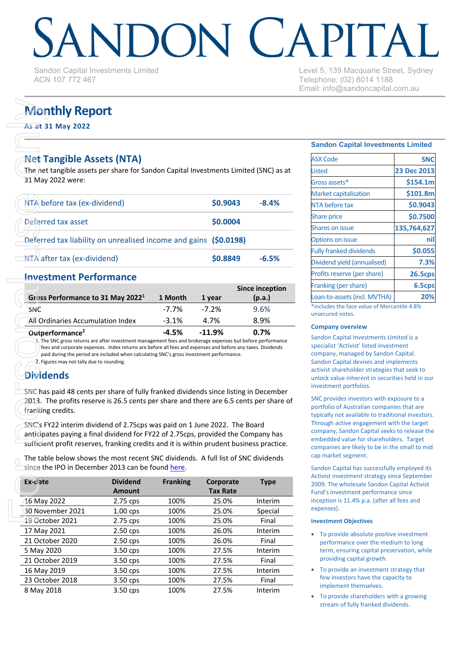# DONI CAPITA

Sandon Capital Investments Limited ACN 107 772 467

Level 5, 139 Macquarie Street, Sydney Telephone: (02) 8014 1188 Email: info@sandoncapital.com.au

# **Monthly Report**

# **Net Tangible Assets (NTA)**

| <b>Monthly Report</b><br>As at 31 May 2022                                                                                                                                                                                                                                                                                                                                                                      |                                  |                 |                              |                                  |
|-----------------------------------------------------------------------------------------------------------------------------------------------------------------------------------------------------------------------------------------------------------------------------------------------------------------------------------------------------------------------------------------------------------------|----------------------------------|-----------------|------------------------------|----------------------------------|
| <b>Net Tangible Assets (NTA)</b><br>The net tangible assets per share for Sandon Capital Investments Limited (SNC) as at<br>31 May 2022 were:                                                                                                                                                                                                                                                                   |                                  |                 |                              |                                  |
| NTA before tax (ex-dividend)                                                                                                                                                                                                                                                                                                                                                                                    |                                  |                 | \$0.9043                     | $-8.4%$                          |
| Deferred tax asset                                                                                                                                                                                                                                                                                                                                                                                              |                                  |                 | \$0.0004                     |                                  |
| Deferred tax liability on unrealised income and gains (\$0.0198)                                                                                                                                                                                                                                                                                                                                                |                                  |                 |                              |                                  |
| NTA after tax (ex-dividend)                                                                                                                                                                                                                                                                                                                                                                                     |                                  |                 | \$0.8849                     | $-6.5%$                          |
| <b>Investment Performance</b><br>Gross Performance to 31 May 2022 <sup>1</sup>                                                                                                                                                                                                                                                                                                                                  |                                  | 1 Month         | 1 year                       | <b>Since inception</b><br>(p.a.) |
| <b>SNC</b>                                                                                                                                                                                                                                                                                                                                                                                                      |                                  | $-7.7%$         | $-7.2%$                      | 9.6%                             |
| All Ordinaries Accumulation Index                                                                                                                                                                                                                                                                                                                                                                               |                                  | $-3.1%$         | 4.7%                         | 8.9%                             |
| Outperformance <sup>2</sup><br>1. The SNC gross returns are after investment management fees and brokerage expenses but before performance<br>fees and corporate expenses. Index returns are before all fees and expenses and before any taxes. Dividends<br>paid during the period are included when calculating SNC's gross investment performance.<br>2. Figures may not tally due to rounding.<br>Dividends |                                  | $-4.5%$         | $-11.9%$                     | 0.7%                             |
| SNC has paid 48 cents per share of fully franked dividends since listing in December<br>2013. The profits reserve is 26.5 cents per share and there are 6.5 cents per share of<br>franking credits.                                                                                                                                                                                                             |                                  |                 |                              |                                  |
| SNC's FY22 interim dividend of 2.75cps was paid on 1 June 2022. The Board<br>anticipates paying a final dividend for FY22 of 2.75cps, provided the Company has<br>sufficient profit reserves, franking credits and it is within prudent business practice.                                                                                                                                                      |                                  |                 |                              |                                  |
| The table below shows the most recent SNC dividends. A full list of SNC dividends<br>since the IPO in December 2013 can be found here.                                                                                                                                                                                                                                                                          |                                  |                 |                              |                                  |
| Ex-date                                                                                                                                                                                                                                                                                                                                                                                                         | <b>Dividend</b><br><b>Amount</b> | <b>Franking</b> | Corporate<br><b>Tax Rate</b> | <b>Type</b>                      |
| 16 May 2022                                                                                                                                                                                                                                                                                                                                                                                                     | 2.75 cps                         | 100%            | 25.0%                        | Interim                          |
| 30 November 2021                                                                                                                                                                                                                                                                                                                                                                                                | 1.00 cps                         | 100%            | 25.0%                        | Special                          |
| $10$ October 2021                                                                                                                                                                                                                                                                                                                                                                                               | $2.75$ cpc                       | 1000/           | $2E$ $00/$                   | Einal                            |

# **Investment Performance**

|                                               |         |          | Since inception |
|-----------------------------------------------|---------|----------|-----------------|
| Gross Performance to 31 May 2022 <sup>1</sup> | 1 Month | 1 year   | (p.a.)          |
| SNC                                           | -7.7%   | $-7.2\%$ | 9.6%            |
| All Ordinaries Accumulation Index             | $-3.1%$ | 4.7%     | 8.9%            |
| Outperformance <sup>2</sup>                   | $-4.5%$ | $-11.9%$ | 0.7%            |

# **Dividends**

| Ex-date          | <b>Dividend</b><br>Amount | <b>Franking</b> | Corporate<br><b>Tax Rate</b> | <b>Type</b> |
|------------------|---------------------------|-----------------|------------------------------|-------------|
| 16 May 2022      | 2.75 cps                  | 100%            | 25.0%                        | Interim     |
| 30 November 2021 | $1.00$ cps                | 100%            | 25.0%                        | Special     |
| 19 October 2021  | 2.75 cps                  | 100%            | 25.0%                        | Final       |
| 17 May 2021      | $2.50$ cps                | 100%            | 26.0%                        | Interim     |
| 21 October 2020  | $2.50$ cps                | 100%            | 26.0%                        | Final       |
| 5 May 2020       | 3.50 cps                  | 100%            | 27.5%                        | Interim     |
| 21 October 2019  | 3.50 cps                  | 100%            | 27.5%                        | Final       |
| 16 May 2019      | 3.50 cps                  | 100%            | 27.5%                        | Interim     |
| 23 October 2018  | 3.50 cps                  | 100%            | 27.5%                        | Final       |
| 8 May 2018       | 3.50 cps                  | 100%            | 27.5%                        | Interim     |

## **Sandon Capital Investments Limited**

| <b>ASX Code</b>                                                                                                                                                                                                                | <b>SNC</b>     |
|--------------------------------------------------------------------------------------------------------------------------------------------------------------------------------------------------------------------------------|----------------|
| <b>Listed</b>                                                                                                                                                                                                                  | 23 Dec 2013    |
| Gross assets*                                                                                                                                                                                                                  | \$154.1m       |
| <b>Market capitalisation</b>                                                                                                                                                                                                   | \$101.8m       |
| NTA before tax                                                                                                                                                                                                                 | \$0.9043       |
| <b>Share price</b>                                                                                                                                                                                                             | \$0.7500       |
| <b>Shares on issue</b>                                                                                                                                                                                                         | 135,764,627    |
| <b>Options on issue</b>                                                                                                                                                                                                        |                |
| <b>Fully franked dividends</b>                                                                                                                                                                                                 | \$0.055        |
| Dividend yield (annualised)                                                                                                                                                                                                    | 7.3%           |
| Profits reserve (per share)                                                                                                                                                                                                    | <b>26.5cps</b> |
| Franking (per share)                                                                                                                                                                                                           | 6.5cps         |
| Loan-to-assets (incl. MVTHA)                                                                                                                                                                                                   | 20%            |
| White the state of the Contract of the Contract of the American State of the American State of the American State of the American State of the American State of the American State of the American State of the American Stat | 11.4001        |

\*includes the face value of Mercantile 4.8% unsecured notes.

### **Company overview**

Sandon Capital Investments Limited is a specialist 'Activist' listed investment company, managed by Sandon Capital. Sandon Capital devises and implements activist shareholder strategies that seek to unlock value inherent in securities held in our investment portfolios.

SNC provides investors with exposure to a portfolio of Australian companies that are typically not available to traditional investors. Through active engagement with the target company, Sandon Capital seeks to release the embedded value for shareholders. Target companies are likely to be in the small to mid cap market segment.

Sandon Capital has successfully employed its Activist investment strategy since September 2009. The wholesale Sandon Capital Activist Fund's investment performance since inception is 11.4% p.a. (after all fees and expenses).

### **Investment Objectives**

- To provide absolute positive investment performance over the medium to long term, ensuring capital preservation, while providing capital growth.
- To provide an investment strategy that few investors have the capacity to implement themselves.
- To provide shareholders with a growing stream of fully franked dividends.